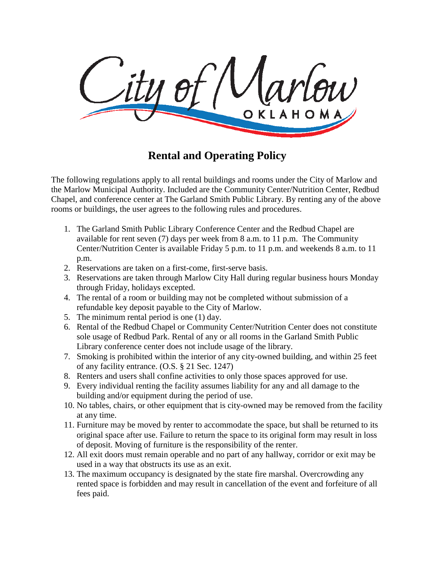**Rental and Operating Policy**

The following regulations apply to all rental buildings and rooms under the City of Marlow and the Marlow Municipal Authority. Included are the Community Center/Nutrition Center, Redbud Chapel, and conference center at The Garland Smith Public Library. By renting any of the above rooms or buildings, the user agrees to the following rules and procedures.

- 1. The Garland Smith Public Library Conference Center and the Redbud Chapel are available for rent seven (7) days per week from 8 a.m. to 11 p.m. The Community Center/Nutrition Center is available Friday 5 p.m. to 11 p.m. and weekends 8 a.m. to 11 p.m.
- 2. Reservations are taken on a first-come, first-serve basis.
- 3. Reservations are taken through Marlow City Hall during regular business hours Monday through Friday, holidays excepted.
- 4. The rental of a room or building may not be completed without submission of a refundable key deposit payable to the City of Marlow.
- 5. The minimum rental period is one (1) day.
- 6. Rental of the Redbud Chapel or Community Center/Nutrition Center does not constitute sole usage of Redbud Park. Rental of any or all rooms in the Garland Smith Public Library conference center does not include usage of the library.
- 7. Smoking is prohibited within the interior of any city-owned building, and within 25 feet of any facility entrance. (O.S. § 21 Sec. 1247)
- 8. Renters and users shall confine activities to only those spaces approved for use.
- 9. Every individual renting the facility assumes liability for any and all damage to the building and/or equipment during the period of use.
- 10. No tables, chairs, or other equipment that is city-owned may be removed from the facility at any time.
- 11. Furniture may be moved by renter to accommodate the space, but shall be returned to its original space after use. Failure to return the space to its original form may result in loss of deposit. Moving of furniture is the responsibility of the renter.
- 12. All exit doors must remain operable and no part of any hallway, corridor or exit may be used in a way that obstructs its use as an exit.
- 13. The maximum occupancy is designated by the state fire marshal. Overcrowding any rented space is forbidden and may result in cancellation of the event and forfeiture of all fees paid.